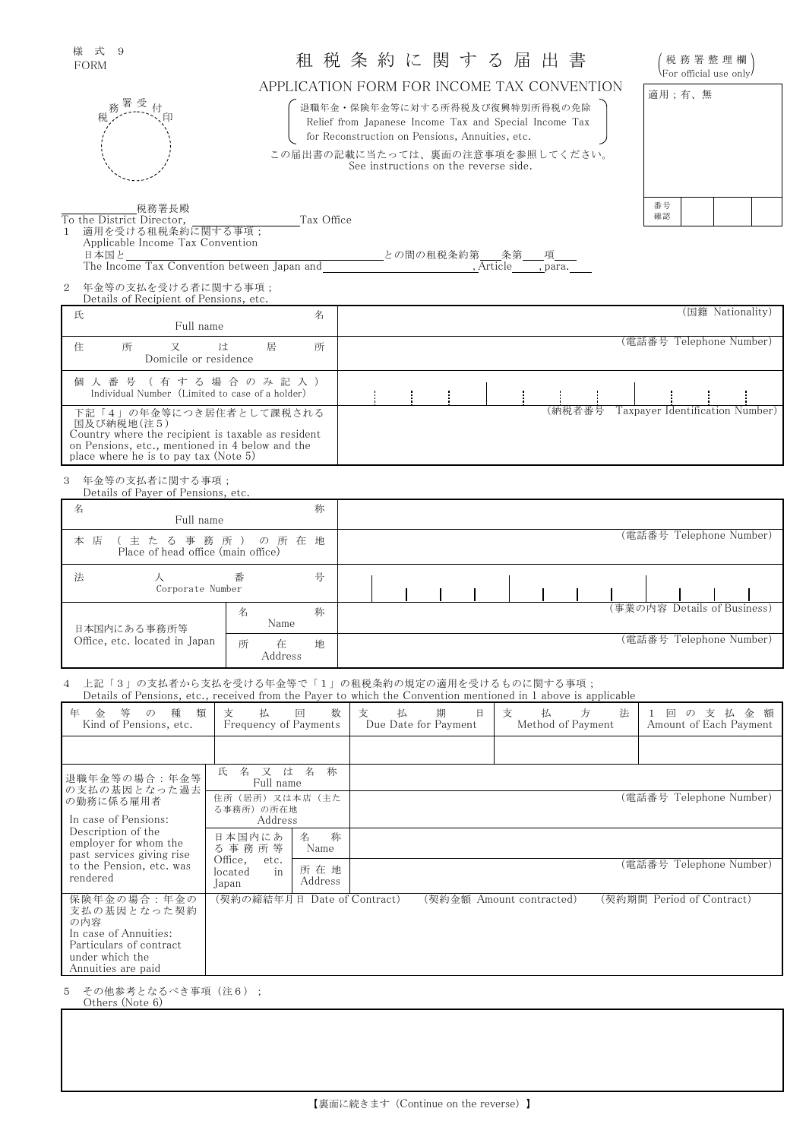| 様式          | 9 |  |
|-------------|---|--|
| <b>FORM</b> |   |  |

# \* \* \* > \* > \* > \* > イン 利 税 条 約 に 関 す る 届 出 書 ― ( 税務署整理欄)<br>FORM ― ― ― ― ― ― 和 税 条 約 に 関 す る 届 出 書 ― ― ( Rer official use only)

| 税務署整理欄)                 |  |  |  |
|-------------------------|--|--|--|
| \For official use only/ |  |  |  |

## APPLICATION FORM FOR INCOME TAX CONVENTION

退職年金・保険年金等に対する所得税及び復興特別所得税の免除 Relief from Japanese Income Tax and Special Income Tax for Reconstruction on Pensions, Annuities, etc.

この届出書の記載に当たっては、裏面の注意事項を参照してください。 See instructions on the reverse side.

| 適用;有、無 |  |  |
|--------|--|--|
|        |  |  |
|        |  |  |
|        |  |  |
|        |  |  |
| 番号     |  |  |

- 務署受付<br>税 - Times / 印

税務署長殿 To the District Director, Tax Office 1 適用を受ける租税条約に関する事項; Applicable Income Tax Convention<br>日本国と

\_との間の租税条約第\_\_\_\_条第\_\_\_\_項\_\_\_<br>, Article , para. The Income Tax Convention between Japan and

2 年金等の支払を受ける者に関する事項; Details of Recipient of Pensions, etc.

| 名<br>氏<br>Full name                                                                                                                                                                     | (国籍 Nationality)                          |
|-----------------------------------------------------------------------------------------------------------------------------------------------------------------------------------------|-------------------------------------------|
| 所<br>所<br>住<br>居<br>は<br>Domicile or residence                                                                                                                                          | (電話番号 Telephone Number)                   |
| 個 人 番 号 (有 す る 場 合 の み 記 入 )<br>Individual Number (Limited to case of a holder)                                                                                                         |                                           |
| 下記「4」の年金等につき居住者として課税される<br>国及び納税地(注5)<br>Country where the recipient is taxable as resident<br>on Pensions, etc., mentioned in 4 below and the<br>place where he is to pay tax (Note 5) | Taxpayer Identification Number)<br>(納税者番号 |

3 年金等の支払者に関する事項; Details of Payer of Pensions, etc.

| Details of Payer of Pensions, etc.                        |                        |  |                         |                             |
|-----------------------------------------------------------|------------------------|--|-------------------------|-----------------------------|
| 名<br>Full name                                            | 称                      |  |                         |                             |
| (主たる事務所)の所在地<br>本 店<br>Place of head office (main office) |                        |  | (電話番号 Telephone Number) |                             |
| 法<br>Corporate Number                                     | 号<br>番                 |  |                         |                             |
| 日本国内にある事務所等                                               | 称<br>名<br>Name         |  |                         | (事業の内容 Details of Business) |
| Office, etc. located in Japan                             | 所<br>地<br>在<br>Address |  |                         | (電話番号 Telephone Number)     |

4 上記「3」の支払者から支払を受ける年金等で「1」の租税条約の規定の適用を受けるものに関する事項; Details of Pensions, etc., received from the Payer to which the Convention mentioned in 1 above is applicable

| Details of Felisions, etc., received from the Fayer to which the Convention inclitioned in Fasove is applicable                                       |                                                                                |                |                         |                                |                             |        |                                                                |
|-------------------------------------------------------------------------------------------------------------------------------------------------------|--------------------------------------------------------------------------------|----------------|-------------------------|--------------------------------|-----------------------------|--------|----------------------------------------------------------------|
| 種<br>類<br>年<br>等<br>金<br>$\mathcal{O}$<br>Kind of Pensions, etc.                                                                                      | 支<br>払<br>Frequency of Payments                                                | 数<br>回         | 支<br>払                  | 期<br>日<br>Due Date for Payment | 支<br>払<br>Method of Payment | 方<br>法 | の支払<br>ようしょう 金額 こうかい かんごう かんきょう<br>回<br>Amount of Each Payment |
|                                                                                                                                                       |                                                                                |                |                         |                                |                             |        |                                                                |
| 退職年金等の場合:年金等<br>の支払の基因となった過去                                                                                                                          | 名<br>称<br>名 又 は<br>氏<br>Full name<br>住所(居所)又は本店<br>(主た<br>る事務所)の所在地<br>Address |                |                         |                                |                             |        |                                                                |
| の勤務に係る雇用者<br>In case of Pensions:<br>Description of the<br>employer for whom the<br>past services giving rise<br>to the Pension, etc. was<br>rendered |                                                                                |                | (電話番号 Telephone Number) |                                |                             |        |                                                                |
|                                                                                                                                                       | 日本国内にあ<br>る事務所等<br>Office,<br>etc.<br>located<br>in<br>Japan                   | 称<br>名<br>Name |                         |                                |                             |        |                                                                |
|                                                                                                                                                       |                                                                                | 所在地<br>Address |                         |                                |                             |        | (電話番号 Telephone Number)                                        |
| 保険年金の場合:年金の<br>支払の基因となった契約<br>の内容<br>In case of Annuities:<br>Particulars of contract<br>under which the<br>Annuities are paid                        | (契約の締結年月日 Date of Contract)                                                    |                |                         |                                | (契約金額 Amount contracted)    |        | (契約期間 Period of Contract)                                      |

5 その他参考となるべき事項 (注6); Others (Note 6)